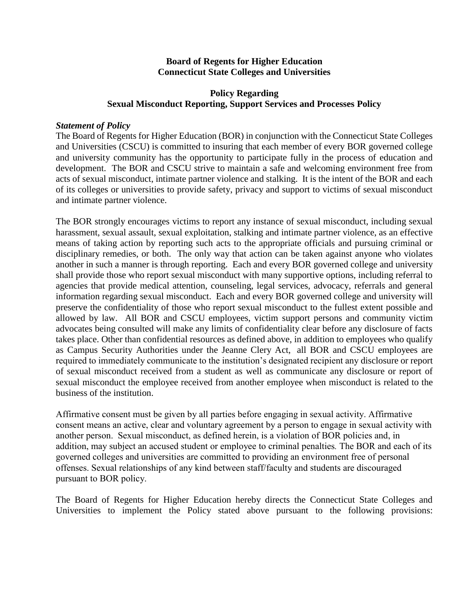#### **Board of Regents for Higher Education Connecticut State Colleges and Universities**

### **Policy Regarding Sexual Misconduct Reporting, Support Services and Processes Policy**

#### *Statement of Policy*

The Board of Regents for Higher Education (BOR) in conjunction with the Connecticut State Colleges and Universities (CSCU) is committed to insuring that each member of every BOR governed college and university community has the opportunity to participate fully in the process of education and development. The BOR and CSCU strive to maintain a safe and welcoming environment free from acts of sexual misconduct, intimate partner violence and stalking. It is the intent of the BOR and each of its colleges or universities to provide safety, privacy and support to victims of sexual misconduct and intimate partner violence.

The BOR strongly encourages victims to report any instance of sexual misconduct, including sexual harassment, sexual assault, sexual exploitation, stalking and intimate partner violence, as an effective means of taking action by reporting such acts to the appropriate officials and pursuing criminal or disciplinary remedies, or both. The only way that action can be taken against anyone who violates another in such a manner is through reporting. Each and every BOR governed college and university shall provide those who report sexual misconduct with many supportive options, including referral to agencies that provide medical attention, counseling, legal services, advocacy, referrals and general information regarding sexual misconduct. Each and every BOR governed college and university will preserve the confidentiality of those who report sexual misconduct to the fullest extent possible and allowed by law. All BOR and CSCU employees, victim support persons and community victim advocates being consulted will make any limits of confidentiality clear before any disclosure of facts takes place. Other than confidential resources as defined above, in addition to employees who qualify as Campus Security Authorities under the Jeanne Clery Act, all BOR and CSCU employees are required to immediately communicate to the institution's designated recipient any disclosure or report of sexual misconduct received from a student as well as communicate any disclosure or report of sexual misconduct the employee received from another employee when misconduct is related to the business of the institution.

Affirmative consent must be given by all parties before engaging in sexual activity. Affirmative consent means an active, clear and voluntary agreement by a person to engage in sexual activity with another person. Sexual misconduct, as defined herein, is a violation of BOR policies and, in addition, may subject an accused student or employee to criminal penalties*.* The BOR and each of its governed colleges and universities are committed to providing an environment free of personal offenses. Sexual relationships of any kind between staff/faculty and students are discouraged pursuant to BOR policy.

The Board of Regents for Higher Education hereby directs the Connecticut State Colleges and Universities to implement the Policy stated above pursuant to the following provisions: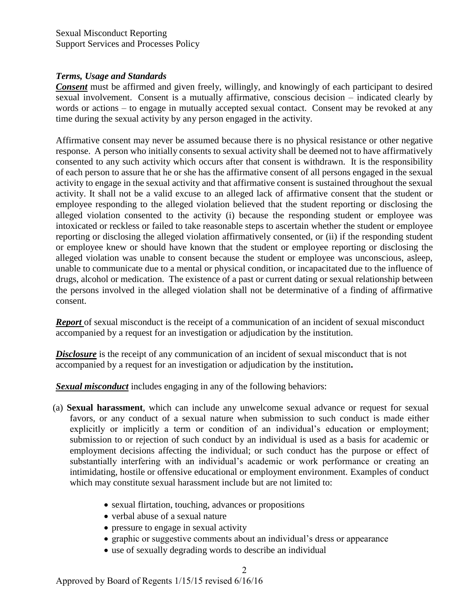### *Terms, Usage and Standards*

*Consent* must be affirmed and given freely, willingly, and knowingly of each participant to desired sexual involvement. Consent is a mutually affirmative, conscious decision – indicated clearly by words or actions – to engage in mutually accepted sexual contact. Consent may be revoked at any time during the sexual activity by any person engaged in the activity.

Affirmative consent may never be assumed because there is no physical resistance or other negative response. A person who initially consents to sexual activity shall be deemed not to have affirmatively consented to any such activity which occurs after that consent is withdrawn. It is the responsibility of each person to assure that he or she has the affirmative consent of all persons engaged in the sexual activity to engage in the sexual activity and that affirmative consent is sustained throughout the sexual activity. It shall not be a valid excuse to an alleged lack of affirmative consent that the student or employee responding to the alleged violation believed that the student reporting or disclosing the alleged violation consented to the activity (i) because the responding student or employee was intoxicated or reckless or failed to take reasonable steps to ascertain whether the student or employee reporting or disclosing the alleged violation affirmatively consented, or (ii) if the responding student or employee knew or should have known that the student or employee reporting or disclosing the alleged violation was unable to consent because the student or employee was unconscious, asleep, unable to communicate due to a mental or physical condition, or incapacitated due to the influence of drugs, alcohol or medication. The existence of a past or current dating or sexual relationship between the persons involved in the alleged violation shall not be determinative of a finding of affirmative consent.

**Report** of sexual misconduct is the receipt of a communication of an incident of sexual misconduct accompanied by a request for an investigation or adjudication by the institution.

**Disclosure** is the receipt of any communication of an incident of sexual misconduct that is not accompanied by a request for an investigation or adjudication by the institution**.** 

*Sexual misconduct* includes engaging in any of the following behaviors:

- (a) **Sexual harassment**, which can include any unwelcome sexual advance or request for sexual favors, or any conduct of a sexual nature when submission to such conduct is made either explicitly or implicitly a term or condition of an individual's education or employment; submission to or rejection of such conduct by an individual is used as a basis for academic or employment decisions affecting the individual; or such conduct has the purpose or effect of substantially interfering with an individual's academic or work performance or creating an intimidating, hostile or offensive educational or employment environment. Examples of conduct which may constitute sexual harassment include but are not limited to:
	- sexual flirtation, touching, advances or propositions
	- verbal abuse of a sexual nature
	- pressure to engage in sexual activity
	- graphic or suggestive comments about an individual's dress or appearance
	- use of sexually degrading words to describe an individual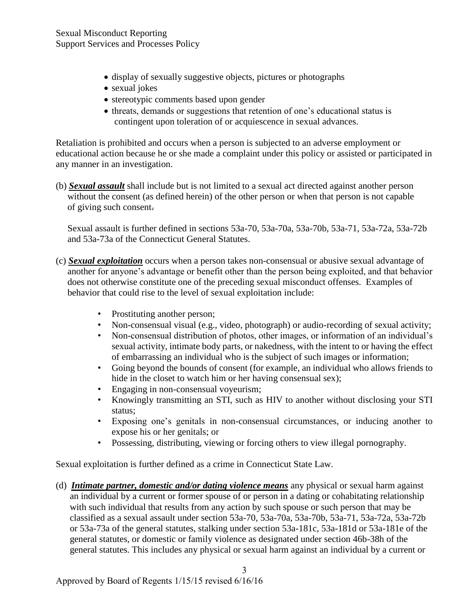- display of sexually suggestive objects, pictures or photographs
- sexual jokes
- stereotypic comments based upon gender
- threats, demands or suggestions that retention of one's educational status is contingent upon toleration of or acquiescence in sexual advances.

Retaliation is prohibited and occurs when a person is subjected to an adverse employment or educational action because he or she made a complaint under this policy or assisted or participated in any manner in an investigation.

(b) *Sexual assault* shall include but is not limited to a sexual act directed against another person without the consent (as defined herein) of the other person or when that person is not capable of giving such consent.

 Sexual assault is further defined in sections 53a-70, 53a-70a, 53a-70b, 53a-71, 53a-72a, 53a-72b and 53a-73a of the Connecticut General Statutes.

- (c) *Sexual exploitation* occurs when a person takes non-consensual or abusive sexual advantage of another for anyone's advantage or benefit other than the person being exploited, and that behavior does not otherwise constitute one of the preceding sexual misconduct offenses. Examples of behavior that could rise to the level of sexual exploitation include:
	- Prostituting another person;
	- Non-consensual visual (e.g., video, photograph) or audio-recording of sexual activity;
	- Non-consensual distribution of photos, other images, or information of an individual's sexual activity, intimate body parts, or nakedness, with the intent to or having the effect of embarrassing an individual who is the subject of such images or information;
	- Going beyond the bounds of consent (for example, an individual who allows friends to hide in the closet to watch him or her having consensual sex);
	- Engaging in non-consensual voyeurism;
	- Knowingly transmitting an STI, such as HIV to another without disclosing your STI status;
	- Exposing one's genitals in non-consensual circumstances, or inducing another to expose his or her genitals; or
	- Possessing, distributing, viewing or forcing others to view illegal pornography.

Sexual exploitation is further defined as a crime in Connecticut State Law.

(d) *Intimate partner, domestic and/or dating violence means* any physical or sexual harm against an individual by a current or former spouse of or person in a dating or cohabitating relationship with such individual that results from any action by such spouse or such person that may be classified as a sexual assault under section 53a-70, 53a-70a, 53a-70b, 53a-71, 53a-72a, 53a-72b or 53a-73a of the general statutes, stalking under section 53a-181c, 53a-181d or 53a-181e of the general statutes, or domestic or family violence as designated under section 46b-38h of the general statutes. This includes any physical or sexual harm against an individual by a current or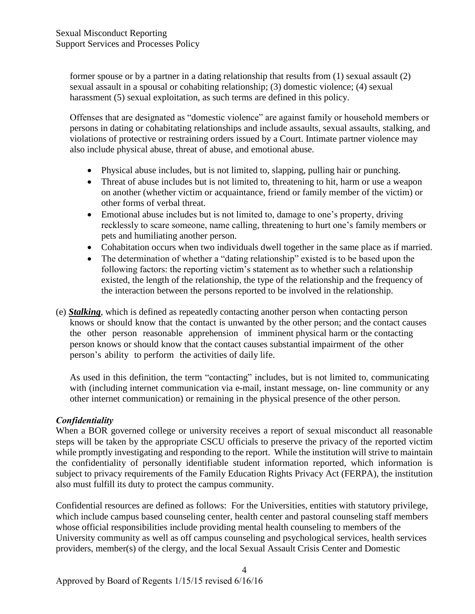former spouse or by a partner in a dating relationship that results from (1) sexual assault (2) sexual assault in a spousal or cohabiting relationship; (3) domestic violence; (4) sexual harassment (5) sexual exploitation, as such terms are defined in this policy.

Offenses that are designated as "domestic violence" are against family or household members or persons in dating or cohabitating relationships and include assaults, sexual assaults, stalking, and violations of protective or restraining orders issued by a Court. Intimate partner violence may also include physical abuse, threat of abuse, and emotional abuse.

- Physical abuse includes, but is not limited to, slapping, pulling hair or punching.
- Threat of abuse includes but is not limited to, threatening to hit, harm or use a weapon on another (whether victim or acquaintance, friend or family member of the victim) or other forms of verbal threat.
- Emotional abuse includes but is not limited to, damage to one's property, driving recklessly to scare someone, name calling, threatening to hurt one's family members or pets and humiliating another person.
- Cohabitation occurs when two individuals dwell together in the same place as if married.
- The determination of whether a "dating relationship" existed is to be based upon the following factors: the reporting victim's statement as to whether such a relationship existed, the length of the relationship, the type of the relationship and the frequency of the interaction between the persons reported to be involved in the relationship.
- (e) *Stalking*, which is defined as repeatedly contacting another person when contacting person knows or should know that the contact is unwanted by the other person; and the contact causes the other person reasonable apprehension of imminent physical harm or the contacting person knows or should know that the contact causes substantial impairment of the other person's ability to perform the activities of daily life.

As used in this definition, the term "contacting" includes, but is not limited to, communicating with (including internet communication via e-mail, instant message, on-line community or any other internet communication) or remaining in the physical presence of the other person.

# *Confidentiality*

When a BOR governed college or university receives a report of sexual misconduct all reasonable steps will be taken by the appropriate CSCU officials to preserve the privacy of the reported victim while promptly investigating and responding to the report. While the institution will strive to maintain the confidentiality of personally identifiable student information reported, which information is subject to privacy requirements of the Family Education Rights Privacy Act (FERPA), the institution also must fulfill its duty to protect the campus community.

Confidential resources are defined as follows: For the Universities, entities with statutory privilege, which include campus based counseling center, health center and pastoral counseling staff members whose official responsibilities include providing mental health counseling to members of the University community as well as off campus counseling and psychological services, health services providers, member(s) of the clergy, and the local Sexual Assault Crisis Center and Domestic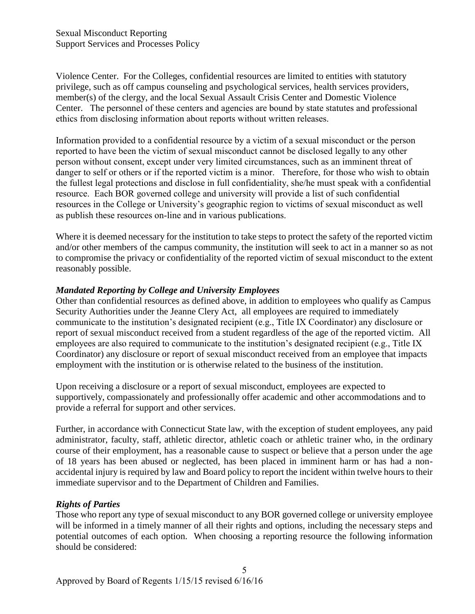Violence Center. For the Colleges, confidential resources are limited to entities with statutory privilege, such as off campus counseling and psychological services, health services providers, member(s) of the clergy, and the local Sexual Assault Crisis Center and Domestic Violence Center.The personnel of these centers and agencies are bound by state statutes and professional ethics from disclosing information about reports without written releases.

Information provided to a confidential resource by a victim of a sexual misconduct or the person reported to have been the victim of sexual misconduct cannot be disclosed legally to any other person without consent, except under very limited circumstances, such as an imminent threat of danger to self or others or if the reported victim is a minor. Therefore, for those who wish to obtain the fullest legal protections and disclose in full confidentiality, she/he must speak with a confidential resource. Each BOR governed college and university will provide a list of such confidential resources in the College or University's geographic region to victims of sexual misconduct as well as publish these resources on-line and in various publications.

Where it is deemed necessary for the institution to take steps to protect the safety of the reported victim and/or other members of the campus community, the institution will seek to act in a manner so as not to compromise the privacy or confidentiality of the reported victim of sexual misconduct to the extent reasonably possible.

# *Mandated Reporting by College and University Employees*

Other than confidential resources as defined above, in addition to employees who qualify as Campus Security Authorities under the Jeanne Clery Act, all employees are required to immediately communicate to the institution's designated recipient (e.g., Title IX Coordinator) any disclosure or report of sexual misconduct received from a student regardless of the age of the reported victim. All employees are also required to communicate to the institution's designated recipient (e.g., Title IX Coordinator) any disclosure or report of sexual misconduct received from an employee that impacts employment with the institution or is otherwise related to the business of the institution.

Upon receiving a disclosure or a report of sexual misconduct, employees are expected to supportively, compassionately and professionally offer academic and other accommodations and to provide a referral for support and other services.

Further, in accordance with Connecticut State law, with the exception of student employees, any paid administrator, faculty, staff, athletic director, athletic coach or athletic trainer who, in the ordinary course of their employment, has a reasonable cause to suspect or believe that a person under the age of 18 years has been abused or neglected, has been placed in imminent harm or has had a nonaccidental injury is required by law and Board policy to report the incident within twelve hours to their immediate supervisor and to the Department of Children and Families.

# *Rights of Parties*

Those who report any type of sexual misconduct to any BOR governed college or university employee will be informed in a timely manner of all their rights and options, including the necessary steps and potential outcomes of each option. When choosing a reporting resource the following information should be considered: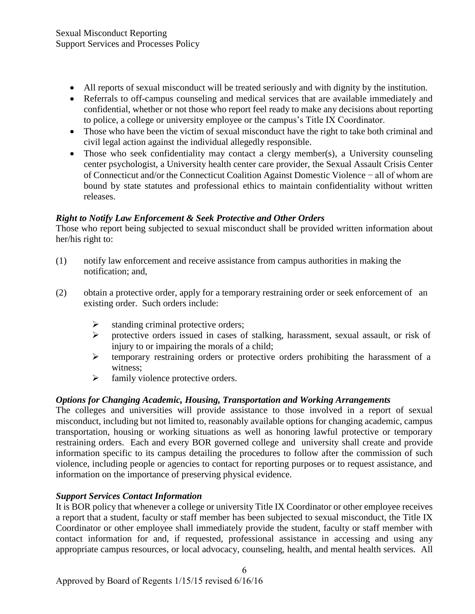- All reports of sexual misconduct will be treated seriously and with dignity by the institution.
- Referrals to off-campus counseling and medical services that are available immediately and confidential, whether or not those who report feel ready to make any decisions about reporting to police, a college or university employee or the campus's Title IX Coordinator.
- Those who have been the victim of sexual misconduct have the right to take both criminal and civil legal action against the individual allegedly responsible.
- Those who seek confidentiality may contact a clergy member(s), a University counseling center psychologist, a University health center care provider, the Sexual Assault Crisis Center of Connecticut and/or the Connecticut Coalition Against Domestic Violence − all of whom are bound by state statutes and professional ethics to maintain confidentiality without written releases.

# *Right to Notify Law Enforcement & Seek Protective and Other Orders*

Those who report being subjected to sexual misconduct shall be provided written information about her/his right to:

- (1) notify law enforcement and receive assistance from campus authorities in making the notification; and,
- (2) obtain a protective order, apply for a temporary restraining order or seek enforcement of an existing order. Such orders include:
	- $\triangleright$  standing criminal protective orders;
	- $\triangleright$  protective orders issued in cases of stalking, harassment, sexual assault, or risk of injury to or impairing the morals of a child;
	- $\triangleright$  temporary restraining orders or protective orders prohibiting the harassment of a witness;
	- $\triangleright$  family violence protective orders.

# *Options for Changing Academic, Housing, Transportation and Working Arrangements*

The colleges and universities will provide assistance to those involved in a report of sexual misconduct, including but not limited to, reasonably available options for changing academic, campus transportation, housing or working situations as well as honoring lawful protective or temporary restraining orders. Each and every BOR governed college and university shall create and provide information specific to its campus detailing the procedures to follow after the commission of such violence, including people or agencies to contact for reporting purposes or to request assistance, and information on the importance of preserving physical evidence.

# *Support Services Contact Information*

It is BOR policy that whenever a college or university Title IX Coordinator or other employee receives a report that a student, faculty or staff member has been subjected to sexual misconduct, the Title IX Coordinator or other employee shall immediately provide the student, faculty or staff member with contact information for and, if requested, professional assistance in accessing and using any appropriate campus resources, or local advocacy, counseling, health, and mental health services. All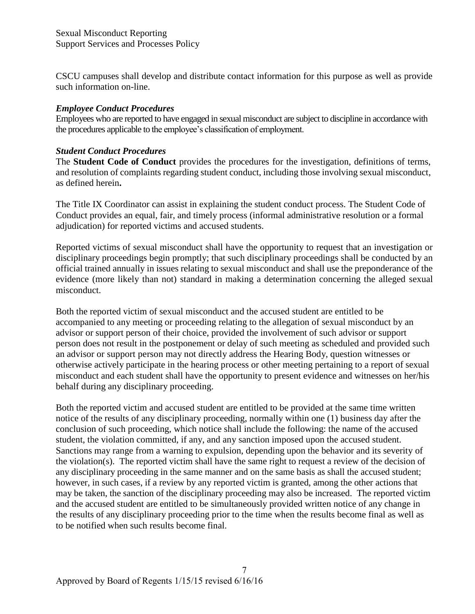CSCU campuses shall develop and distribute contact information for this purpose as well as provide such information on-line.

# *Employee Conduct Procedures*

Employees who are reported to have engaged in sexual misconduct are subject to discipline in accordance with the procedures applicable to the employee's classification of employment.

### *Student Conduct Procedures*

The **Student Code of Conduct** provides the procedures for the investigation, definitions of terms, and resolution of complaints regarding student conduct, including those involving sexual misconduct, as defined herein**.**

The Title IX Coordinator can assist in explaining the student conduct process. The Student Code of Conduct provides an equal, fair, and timely process (informal administrative resolution or a formal adjudication) for reported victims and accused students.

Reported victims of sexual misconduct shall have the opportunity to request that an investigation or disciplinary proceedings begin promptly; that such disciplinary proceedings shall be conducted by an official trained annually in issues relating to sexual misconduct and shall use the preponderance of the evidence (more likely than not) standard in making a determination concerning the alleged sexual misconduct.

Both the reported victim of sexual misconduct and the accused student are entitled to be accompanied to any meeting or proceeding relating to the allegation of sexual misconduct by an advisor or support person of their choice, provided the involvement of such advisor or support person does not result in the postponement or delay of such meeting as scheduled and provided such an advisor or support person may not directly address the Hearing Body, question witnesses or otherwise actively participate in the hearing process or other meeting pertaining to a report of sexual misconduct and each student shall have the opportunity to present evidence and witnesses on her/his behalf during any disciplinary proceeding.

Both the reported victim and accused student are entitled to be provided at the same time written notice of the results of any disciplinary proceeding, normally within one (1) business day after the conclusion of such proceeding, which notice shall include the following: the name of the accused student, the violation committed, if any, and any sanction imposed upon the accused student. Sanctions may range from a warning to expulsion, depending upon the behavior and its severity of the violation(s). The reported victim shall have the same right to request a review of the decision of any disciplinary proceeding in the same manner and on the same basis as shall the accused student; however, in such cases, if a review by any reported victim is granted, among the other actions that may be taken, the sanction of the disciplinary proceeding may also be increased. The reported victim and the accused student are entitled to be simultaneously provided written notice of any change in the results of any disciplinary proceeding prior to the time when the results become final as well as to be notified when such results become final.